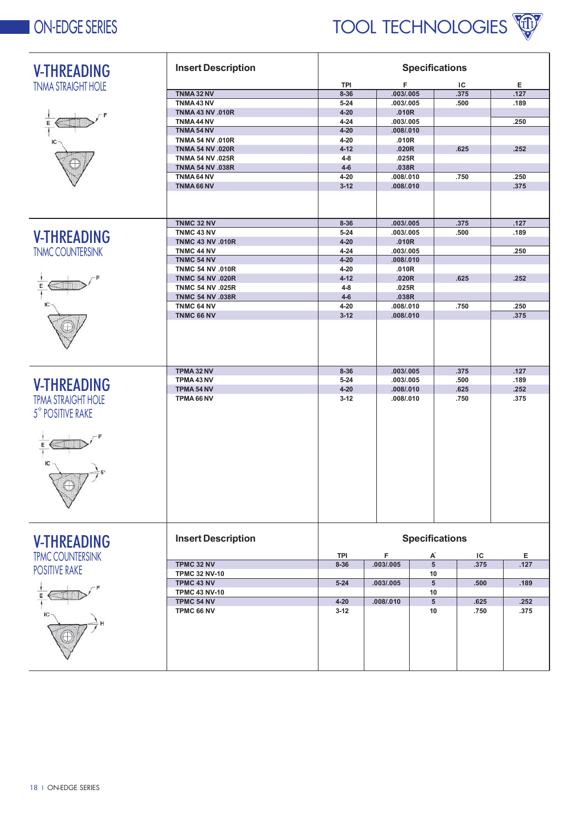## **ON-EDGE SERIES**



| <b>V-THREADING</b>        | <b>Insert Description</b> | <b>Specifications</b> |                |                       |            |           |  |
|---------------------------|---------------------------|-----------------------|----------------|-----------------------|------------|-----------|--|
| <b>TNMA STRAIGHT HOLE</b> |                           | <b>TPI</b>            | F              |                       | ΙC         | Е         |  |
|                           | TNMA 32 NV                | $8 - 36$              | .003/.005      |                       | .375       | .127      |  |
|                           | TNMA43NV                  | $5 - 24$              | .003/.005      |                       | .500       | .189      |  |
|                           | <b>TNMA 43 NV .010R</b>   | $4 - 20$              | .010R          |                       |            |           |  |
|                           | TNMA 44 NV                | $4 - 24$              | .003/.005      |                       |            | .250      |  |
|                           | TNMA 54 NV                | $4 - 20$              | .008/.010      |                       |            |           |  |
|                           | <b>TNMA 54 NV .010R</b>   | $4 - 20$              | .010R          |                       |            |           |  |
|                           | <b>TNMA 54 NV .020R</b>   | $4 - 12$              | .020R          |                       | .625       | .252      |  |
|                           | <b>TNMA 54 NV .025R</b>   | $4 - 8$               | .025R          |                       |            |           |  |
|                           | <b>TNMA 54 NV .038R</b>   | $4-6$                 | .038R          |                       |            |           |  |
|                           | TNMA 64 NV                | $4 - 20$              | .008/.010      |                       | .750       | .250      |  |
|                           | TNMA 66 NV                | $3 - 12$              | .008/.010      |                       |            | .375      |  |
|                           |                           |                       |                |                       |            |           |  |
|                           | TNMC 32 NV                | $8 - 36$              | .003/.005      |                       | .375       | .127      |  |
| <b>V-THREADING</b>        | TNMC 43 NV                | $5 - 24$              | .003/.005      |                       | .500       | .189      |  |
|                           | <b>TNMC 43 NV .010R</b>   | $4 - 20$              | .010R          |                       |            |           |  |
| <b>TNMC COUNTERSINK</b>   | TNMC 44 NV                | $4 - 24$              | .003/.005      |                       |            | .250      |  |
|                           | TNMC 54 NV                | $4 - 20$              | .008/.010      |                       |            |           |  |
|                           | <b>TNMC 54 NV .010R</b>   | $4 - 20$              | .010R          |                       |            |           |  |
| E                         | <b>TNMC 54 NV .020R</b>   | $4 - 12$              | .020R          |                       | .625       | .252      |  |
|                           | <b>TNMC 54 NV .025R</b>   | $4 - 8$               | .025R          |                       |            |           |  |
|                           | <b>TNMC 54 NV .038R</b>   | $4-6$                 | .038R          |                       |            |           |  |
|                           | TNMC 64 NV                | $4 - 20$              | .008/.010      |                       | .750       | .250      |  |
|                           | TNMC 66 NV                | $3 - 12$              | .008/.010      |                       |            | .375      |  |
|                           |                           |                       |                |                       |            |           |  |
|                           | TPMA 32 NV                | $8 - 36$              | .003/.005      | .375                  |            | .127      |  |
| <b>V-THREADING</b>        | TPMA 43 NV                | $5 - 24$              | .003/.005      |                       | .500       | .189      |  |
|                           | TPMA 54 NV                | $4 - 20$              | .008/.010      |                       | .625       | .252      |  |
| <b>TPMA STRAIGHT HOLE</b> | TPMA 66 NV                | $3 - 12$              | .008/.010      |                       | .750       | .375      |  |
| 5° POSITIVE RAKE          |                           |                       |                |                       |            |           |  |
|                           |                           |                       |                |                       |            |           |  |
|                           |                           |                       |                |                       |            |           |  |
| <b>V-THREADING</b>        | <b>Insert Description</b> |                       |                | <b>Specifications</b> |            |           |  |
| <b>TPMC COUNTERSINK</b>   | TPMC 32 NV                | TPI<br>$8 - 36$       | F<br>.003/.005 | A<br>$\overline{5}$   | ΙC<br>.375 | Е<br>.127 |  |
| <b>POSITIVE RAKE</b>      | <b>TPMC 32 NV-10</b>      |                       |                | 10                    |            |           |  |
|                           | TPMC 43 NV                | $5 - 24$              | .003/.005      | $5\overline{)}$       | .500       | .189      |  |
|                           | <b>TPMC 43 NV-10</b>      |                       |                | 10                    |            |           |  |
|                           | TPMC 54 NV                | $4 - 20$              | .008/0.010     | 5 <sup>5</sup>        | .625       | .252      |  |
|                           | TPMC 66 NV                | $3-12$                |                | 10                    | .750       | .375      |  |
|                           |                           |                       |                |                       |            |           |  |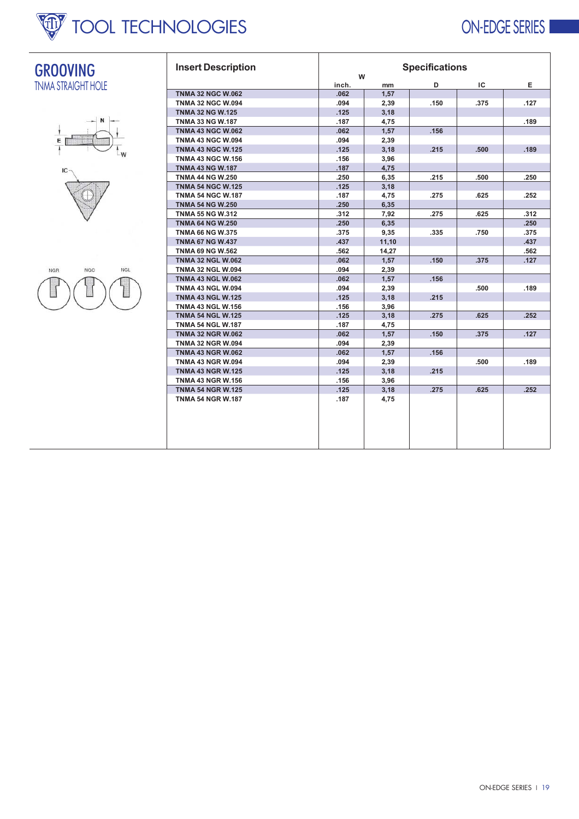

### **ON-EDGE SERIES**



**GROOVING** 



| <b>Insert Description</b> | <b>Specifications</b><br>W |       |      |      |      |  |
|---------------------------|----------------------------|-------|------|------|------|--|
|                           | inch.                      | mm    | D    | ΙC   | Е    |  |
| <b>TNMA 32 NGC W.062</b>  | .062                       | 1,57  |      |      |      |  |
| <b>TNMA 32 NGC W.094</b>  | .094                       | 2,39  | .150 | .375 | .127 |  |
| <b>TNMA 32 NG W.125</b>   | .125                       | 3,18  |      |      |      |  |
| <b>TNMA 33 NG W.187</b>   | .187                       | 4,75  |      |      | .189 |  |
| <b>TNMA 43 NGC W.062</b>  | .062                       | 1,57  | .156 |      |      |  |
| <b>TNMA 43 NGC W.094</b>  | .094                       | 2,39  |      |      |      |  |
| <b>TNMA 43 NGC W.125</b>  | .125                       | 3,18  | .215 | .500 | .189 |  |
| <b>TNMA 43 NGC W.156</b>  | .156                       | 3,96  |      |      |      |  |
| <b>TNMA 43 NG W.187</b>   | .187                       | 4,75  |      |      |      |  |
| <b>TNMA 44 NG W.250</b>   | .250                       | 6,35  | .215 | .500 | .250 |  |
| <b>TNMA 54 NGC W.125</b>  | .125                       | 3,18  |      |      |      |  |
| <b>TNMA 54 NGC W.187</b>  | .187                       | 4,75  | .275 | .625 | .252 |  |
| <b>TNMA 54 NG W.250</b>   | .250                       | 6,35  |      |      |      |  |
| <b>TNMA 55 NG W.312</b>   | .312                       | 7,92  | .275 | .625 | .312 |  |
| <b>TNMA 64 NG W.250</b>   | .250                       | 6,35  |      |      | .250 |  |
| <b>TNMA 66 NG W.375</b>   | .375                       | 9,35  | .335 | .750 | .375 |  |
| <b>TNMA 67 NG W.437</b>   | .437                       | 11,10 |      |      | .437 |  |
| <b>TNMA 69 NG W.562</b>   | .562                       | 14,27 |      |      | .562 |  |
| <b>TNMA 32 NGL W.062</b>  | .062                       | 1,57  | .150 | .375 | .127 |  |
| <b>TNMA 32 NGL W.094</b>  | .094                       | 2,39  |      |      |      |  |
| <b>TNMA 43 NGL W.062</b>  | .062                       | 1,57  | .156 |      |      |  |
| <b>TNMA 43 NGL W.094</b>  | .094                       | 2,39  |      | .500 | .189 |  |
| <b>TNMA 43 NGL W.125</b>  | .125                       | 3,18  | .215 |      |      |  |
| <b>TNMA 43 NGL W.156</b>  | .156                       | 3,96  |      |      |      |  |
| <b>TNMA 54 NGL W.125</b>  | .125                       | 3,18  | .275 | .625 | .252 |  |
| <b>TNMA 54 NGL W.187</b>  | .187                       | 4,75  |      |      |      |  |
| <b>TNMA 32 NGR W.062</b>  | .062                       | 1,57  | .150 | .375 | .127 |  |
| <b>TNMA 32 NGR W.094</b>  | .094                       | 2,39  |      |      |      |  |
| <b>TNMA 43 NGR W.062</b>  | .062                       | 1,57  | .156 |      |      |  |
| <b>TNMA 43 NGR W.094</b>  | .094                       | 2,39  |      | .500 | .189 |  |
| <b>TNMA 43 NGR W.125</b>  | .125                       | 3,18  | .215 |      |      |  |
| <b>TNMA 43 NGR W.156</b>  | .156                       | 3,96  |      |      |      |  |
| <b>TNMA 54 NGR W.125</b>  | .125                       | 3,18  | .275 | .625 | .252 |  |
| <b>TNMA 54 NGR W.187</b>  | .187                       | 4,75  |      |      |      |  |
|                           |                            |       |      |      |      |  |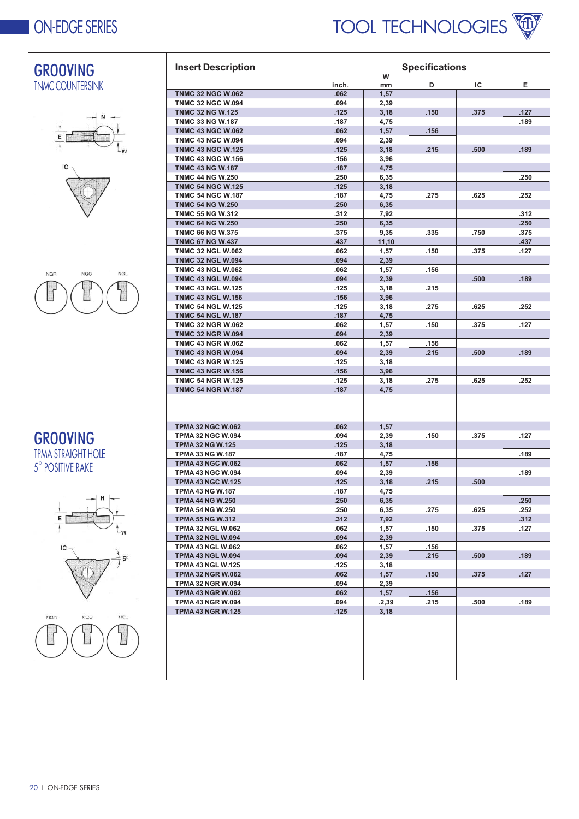

| <b>GROOVING</b>                 | <b>Insert Description</b>                            | <b>Specifications</b> |               |              |      |      |
|---------------------------------|------------------------------------------------------|-----------------------|---------------|--------------|------|------|
|                                 |                                                      |                       | W             | D            | ΙC   | Е    |
| <b>TNMC COUNTERSINK</b>         | <b>TNMC 32 NGC W.062</b>                             | inch.<br>.062         | mm<br>1,57    |              |      |      |
|                                 | <b>TNMC 32 NGC W.094</b>                             | .094                  | 2,39          |              |      |      |
|                                 | <b>TNMC 32 NG W.125</b>                              | .125                  | 3,18          | .150         | .375 | .127 |
|                                 | <b>TNMC 33 NG W.187</b>                              | .187                  | 4,75          |              |      | .189 |
|                                 | <b>TNMC 43 NGC W.062</b>                             | .062                  | 1,57          | .156         |      |      |
| Ε                               | <b>TNMC 43 NGC W.094</b>                             | .094                  | 2,39          |              |      |      |
|                                 | <b>TNMC 43 NGC W.125</b>                             | .125                  | 3,18          | .215         | .500 | .189 |
|                                 | <b>TNMC 43 NGC W.156</b>                             | .156                  | 3,96          |              |      |      |
|                                 | <b>TNMC 43 NG W.187</b>                              | .187                  | 4,75          |              |      |      |
|                                 | <b>TNMC 44 NG W.250</b><br><b>TNMC 54 NGC W.125</b>  | .250<br>.125          | 6,35          |              |      | .250 |
|                                 | <b>TNMC 54 NGC W.187</b>                             | .187                  | 3,18<br>4,75  | .275         | .625 | .252 |
|                                 | <b>TNMC 54 NG W.250</b>                              | .250                  | 6,35          |              |      |      |
|                                 | <b>TNMC 55 NG W.312</b>                              | .312                  | 7,92          |              |      | .312 |
|                                 | <b>TNMC 64 NG W.250</b>                              | .250                  | 6,35          |              |      | .250 |
|                                 | <b>TNMC 66 NG W.375</b>                              | .375                  | 9,35          | .335         | .750 | .375 |
|                                 | <b>TNMC 67 NG W.437</b>                              | .437                  | 11,10         |              |      | .437 |
|                                 | <b>TNMC 32 NGL W.062</b>                             | .062                  | 1,57          | .150         | .375 | .127 |
|                                 | <b>TNMC 32 NGL W.094</b>                             | .094                  | 2,39          |              |      |      |
| <b>NGL</b><br><b>NGR</b><br>NGC | <b>TNMC 43 NGL W.062</b>                             | .062                  | 1,57          | .156         |      |      |
|                                 | <b>TNMC 43 NGL W.094</b>                             | .094                  | 2,39          |              | .500 | .189 |
|                                 | <b>TNMC 43 NGL W.125</b>                             | .125                  | 3,18          | .215         |      |      |
|                                 | <b>TNMC 43 NGL W.156</b>                             | .156                  | 3,96          |              |      |      |
|                                 | <b>TNMC 54 NGL W.125</b>                             | .125                  | 3,18          | .275         | .625 | .252 |
|                                 | <b>TNMC 54 NGL W.187</b>                             | .187                  | 4,75          |              |      |      |
|                                 | <b>TNMC 32 NGR W.062</b><br><b>TNMC 32 NGR W.094</b> | .062                  | 1,57          | .150         | .375 | .127 |
|                                 | <b>TNMC 43 NGR W.062</b>                             | .094<br>.062          | 2,39<br>1,57  | .156         |      |      |
|                                 | <b>TNMC 43 NGR W.094</b>                             | .094                  | 2,39          | .215         | .500 | .189 |
|                                 | <b>TNMC 43 NGR W.125</b>                             | .125                  | 3,18          |              |      |      |
|                                 | <b>TNMC 43 NGR W.156</b>                             | .156                  | 3,96          |              |      |      |
|                                 | <b>TNMC 54 NGR W.125</b>                             | .125                  | 3,18          | .275         | .625 | .252 |
|                                 | <b>TNMC 54 NGR W.187</b>                             | .187                  | 4,75          |              |      |      |
|                                 |                                                      |                       |               |              |      |      |
|                                 |                                                      |                       |               |              |      |      |
|                                 |                                                      |                       |               |              |      |      |
|                                 | <b>TPMA 32 NGC W.062</b>                             | .062                  | 1,57          |              |      |      |
| <b>GROOVING</b>                 | <b>TPMA 32 NGC W.094</b>                             | .094                  | 2,39          | .150         | .375 | .127 |
|                                 | <b>TPMA 32 NG W.125</b>                              | .125                  | 3,18          |              |      |      |
| <b>TPMA STRAIGHT HOLE</b>       | <b>TPMA 33 NG W.187</b>                              | .187                  | 4,75          |              |      | .189 |
| 5° POSITIVE RAKE                | <b>TPMA 43 NGC W.062</b><br><b>TPMA 43 NGC W.094</b> | .062<br>.094          | 1,57<br>2,39  | .156         |      | .189 |
|                                 | <b>TPMA 43 NGC W.125</b>                             | .125                  | 3,18          | .215         | .500 |      |
|                                 | <b>TPMA 43 NG W.187</b>                              | .187                  | 4,75          |              |      |      |
|                                 | <b>TPMA 44 NG W.250</b>                              | .250                  | 6,35          |              |      | .250 |
|                                 | <b>TPMA 54 NG W.250</b>                              | .250                  | 6,35          | .275         | .625 | .252 |
|                                 | <b>TPMA 55 NG W.312</b>                              | .312                  | 7,92          |              |      | .312 |
|                                 | <b>TPMA 32 NGL W.062</b>                             | .062                  | 1,57          | .150         | .375 | .127 |
|                                 | <b>TPMA 32 NGL W.094</b>                             | .094                  | 2,39          |              |      |      |
|                                 | <b>TPMA 43 NGL W.062</b>                             | .062                  | 1,57          | .156         |      |      |
|                                 | <b>TPMA 43 NGL W.094</b>                             | .094                  | 2,39          | .215         | .500 | .189 |
|                                 | <b>TPMA 43 NGL W.125</b>                             | .125                  | 3,18          |              |      |      |
|                                 | <b>TPMA 32 NGR W.062</b>                             | .062                  | 1,57          | .150         | .375 | .127 |
|                                 | <b>TPMA 32 NGR W.094</b>                             | .094                  | 2,39          |              |      |      |
|                                 | <b>TPMA 43 NGR W.062</b><br><b>TPMA 43 NGR W.094</b> | .062<br>.094          | 1,57          | .156<br>.215 | .500 | .189 |
|                                 | <b>TPMA 43 NGR W.125</b>                             | .125                  | .2,39<br>3,18 |              |      |      |
| NGC<br><b>NGL</b><br><b>NGR</b> |                                                      |                       |               |              |      |      |
|                                 |                                                      |                       |               |              |      |      |
|                                 |                                                      |                       |               |              |      |      |
|                                 |                                                      |                       |               |              |      |      |
|                                 |                                                      |                       |               |              |      |      |
|                                 |                                                      |                       |               |              |      |      |
|                                 |                                                      |                       |               |              |      |      |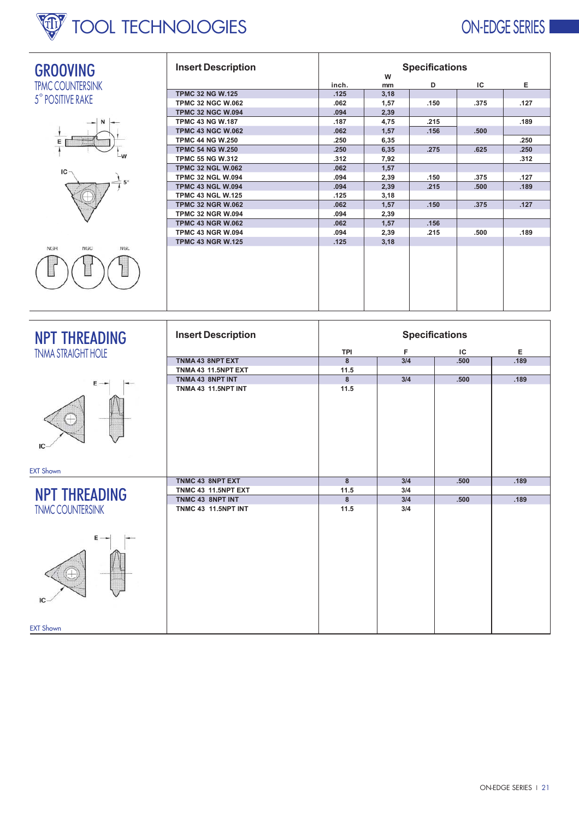# **W** TOOL TECHNOLOGIES

## **ON-EDGE SERIES**

| <b>GROOVING</b>                 | <b>Insert Description</b>  | <b>Specifications</b> |         |              |      |  |  |
|---------------------------------|----------------------------|-----------------------|---------|--------------|------|--|--|
| <b>TPMC COUNTERSINK</b>         |                            | inch.                 | W<br>mm | IC<br>D      | Е    |  |  |
|                                 | <b>TPMC 32 NG W.125</b>    | .125                  | 3,18    |              |      |  |  |
| 5° POSITIVE RAKE                | <b>TPMC 32 NGC W.062</b>   | .062                  | 1,57    | .150<br>.375 | .127 |  |  |
|                                 | <b>TPMC 32 NGC W.094</b>   | .094                  | 2,39    |              |      |  |  |
|                                 | <b>TPMC 43 NG W.187</b>    | .187                  | 4,75    | .215         | .189 |  |  |
|                                 | <b>TPMC 43 NGC W.062</b>   | .062                  | 1,57    | .156<br>.500 |      |  |  |
|                                 | <b>TPMC 44 NG W.250</b>    | .250                  | 6,35    |              | .250 |  |  |
|                                 | <b>TPMC 54 NG W.250</b>    | .250                  | 6,35    | .275<br>.625 | .250 |  |  |
|                                 | <b>TPMC 55 NG W.312</b>    | .312                  | 7,92    |              | .312 |  |  |
| ΙC                              | <b>TPMC 32 NGL W.062</b>   | .062                  | 1,57    |              |      |  |  |
|                                 | <b>TPMC 32 NGL W.094</b>   | .094                  | 2,39    | .150<br>.375 | .127 |  |  |
|                                 | <b>TPMC 43 NGL W.094</b>   | .094                  | 2,39    | .215<br>.500 | .189 |  |  |
|                                 | <b>TPMC 43 NGL W.125</b>   | .125                  | 3,18    |              |      |  |  |
|                                 | <b>TPMC 32 NGR W.062</b>   | .062                  | 1,57    | .375<br>.150 | .127 |  |  |
|                                 | <b>TPMC 32 NGR W.094</b>   | .094                  | 2,39    |              |      |  |  |
|                                 | <b>TPMC 43 NGR W.062</b>   | .062                  | 1,57    | .156         |      |  |  |
|                                 | <b>TPMC 43 NGR W.094</b>   | .094                  | 2,39    | .500<br>.215 | .189 |  |  |
|                                 | <b>TPMC 43 NGR W.125</b>   | .125                  | 3,18    |              |      |  |  |
| NGL<br><b>NGH</b><br><b>NGC</b> |                            |                       |         |              |      |  |  |
|                                 |                            |                       |         |              |      |  |  |
|                                 |                            |                       |         |              |      |  |  |
|                                 |                            |                       |         |              |      |  |  |
| <b>NPT THREADING</b>            | <b>Insert Description</b>  | <b>Specifications</b> |         |              |      |  |  |
| <b>TNMA STRAIGHT HOLE</b>       |                            | <b>TPI</b>            | F       | IC           | Е    |  |  |
|                                 | TNMA 43 8NPT EXT           | $\mathbf{8}$          | 3/4     | .500         | .189 |  |  |
|                                 | TNMA 43 11.5NPT EXT        | 11.5                  |         |              |      |  |  |
|                                 | TNMA 43 8NPT INT           | 8                     | 3/4     | .500         | .189 |  |  |
|                                 | <b>TNMA 43 11.5NPT INT</b> | 11.5                  |         |              |      |  |  |
|                                 |                            |                       |         |              |      |  |  |

| $E - -$                            | TNMA 43 8NPT INT           | 8    | 3/4 | .500 | .189 |
|------------------------------------|----------------------------|------|-----|------|------|
| ΙC                                 | <b>TNMA 43 11.5NPT INT</b> | 11.5 |     |      |      |
| <b>EXT Shown</b>                   |                            |      |     |      |      |
|                                    | TNMC 43 8NPT EXT           | 8    | 3/4 | .500 | .189 |
| <b>NPT THREADING</b>               | <b>TNMC 43 11.5NPT EXT</b> | 11.5 | 3/4 |      |      |
|                                    | TNMC 43 8NPT INT           | 8    | 3/4 | .500 | .189 |
| <b>TNMC COUNTERSINK</b><br>Е<br>IC | <b>TNMC 43 11.5NPT INT</b> | 11.5 | 3/4 |      |      |
| <b>EXT Shown</b>                   |                            |      |     |      |      |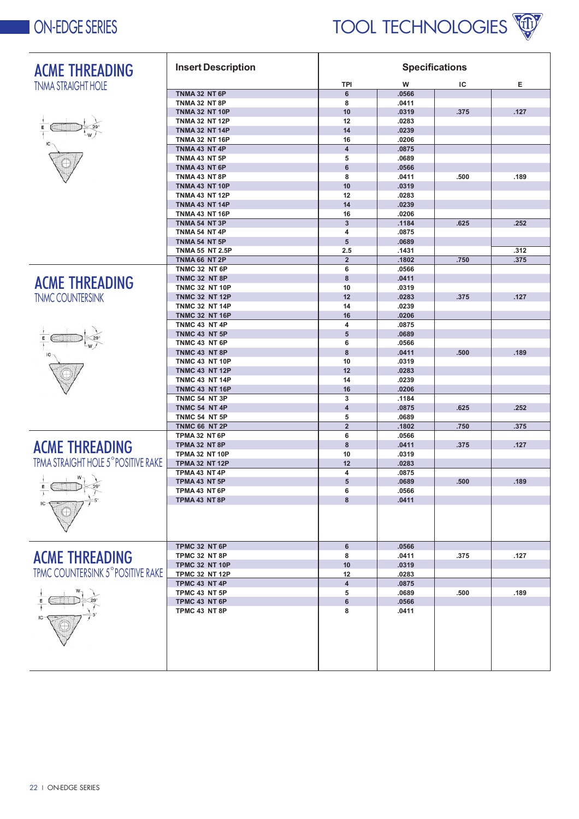

| <b>ACME THREADING</b>                                                     | <b>Insert Description</b> | <b>Specifications</b>   |       |      |      |  |
|---------------------------------------------------------------------------|---------------------------|-------------------------|-------|------|------|--|
| <b>TNMA STRAIGHT HOLE</b>                                                 |                           | TPI                     | w     | ΙC   | Е    |  |
|                                                                           | TNMA 32 NT 6P             | 6                       | .0566 |      |      |  |
|                                                                           | <b>TNMA 32 NT 8P</b>      | 8                       | .0411 |      |      |  |
|                                                                           | <b>TNMA 32 NT 10P</b>     | 10                      | .0319 | .375 | .127 |  |
|                                                                           | <b>TNMA 32 NT 12P</b>     | 12                      | .0283 |      |      |  |
|                                                                           | <b>TNMA 32 NT 14P</b>     | 14                      | .0239 |      |      |  |
|                                                                           | <b>TNMA 32 NT 16P</b>     | 16                      | .0206 |      |      |  |
|                                                                           | TNMA 43 NT 4P             | $\overline{\mathbf{4}}$ | .0875 |      |      |  |
|                                                                           | TNMA 43 NT 5P             | 5                       | .0689 |      |      |  |
|                                                                           | TNMA 43 NT 6P             | 6                       | .0566 |      |      |  |
|                                                                           | TNMA 43 NT 8P             | 8                       | .0411 | .500 | .189 |  |
|                                                                           | <b>TNMA 43 NT 10P</b>     | 10                      | .0319 |      |      |  |
|                                                                           | <b>TNMA 43 NT 12P</b>     | 12                      | .0283 |      |      |  |
|                                                                           | <b>TNMA 43 NT 14P</b>     | 14                      | .0239 |      |      |  |
|                                                                           | <b>TNMA 43 NT 16P</b>     | 16                      | .0206 |      |      |  |
|                                                                           | <b>TNMA 54 NT 3P</b>      | $\mathbf{3}$            | .1184 | .625 | .252 |  |
|                                                                           | <b>TNMA 54 NT 4P</b>      | 4                       | .0875 |      |      |  |
|                                                                           | TNMA 54 NT 5P             | 5                       | .0689 |      |      |  |
|                                                                           | <b>TNMA 55 NT 2.5P</b>    | 2.5                     | .1431 |      | .312 |  |
|                                                                           | TNMA 66 NT 2P             | $\overline{2}$          | .1802 | .750 | .375 |  |
|                                                                           | TNMC 32 NT 6P             | 6                       | .0566 |      |      |  |
| <b>ACME THREADING</b>                                                     | <b>TNMC 32 NT 8P</b>      | 8                       | .0411 |      |      |  |
|                                                                           | <b>TNMC 32 NT 10P</b>     | 10                      | .0319 |      |      |  |
| <b>TNMC COUNTERSINK</b>                                                   | <b>TNMC 32 NT 12P</b>     | 12                      | .0283 | .375 | .127 |  |
|                                                                           | <b>TNMC 32 NT 14P</b>     | 14                      | .0239 |      |      |  |
|                                                                           | <b>TNMC 32 NT 16P</b>     | 16                      | .0206 |      |      |  |
|                                                                           | TNMC 43 NT 4P             | 4                       | .0875 |      |      |  |
|                                                                           | TNMC 43 NT 5P             | 5                       | .0689 |      |      |  |
|                                                                           | TNMC 43 NT 6P             | 6                       | .0566 |      |      |  |
|                                                                           | TNMC 43 NT 8P             | 8                       | .0411 | .500 | .189 |  |
|                                                                           | <b>TNMC 43 NT 10P</b>     | 10                      | .0319 |      |      |  |
|                                                                           | <b>TNMC 43 NT 12P</b>     | 12                      | .0283 |      |      |  |
|                                                                           | <b>TNMC 43 NT 14P</b>     | 14                      | .0239 |      |      |  |
|                                                                           | <b>TNMC 43 NT 16P</b>     | 16                      | .0206 |      |      |  |
|                                                                           | TNMC 54 NT 3P             | 3                       | .1184 |      |      |  |
|                                                                           | TNMC 54 NT 4P             | $\overline{\mathbf{4}}$ | .0875 | .625 | .252 |  |
|                                                                           | TNMC 54 NT 5P             | 5                       | .0689 |      |      |  |
|                                                                           | <b>TNMC 66 NT 2P</b>      | $\overline{2}$          | .1802 | .750 | .375 |  |
|                                                                           | TPMA 32 NT 6P             | 6                       | .0566 |      |      |  |
| <b>ACME THREADING</b>                                                     | TPMA 32 NT 8P             | 8                       | .0411 | .375 | .127 |  |
|                                                                           | <b>TPMA 32 NT 10P</b>     | 10                      | .0319 |      |      |  |
| TPMA STRAIGHT HOLE 5° POSITIVE RAKE                                       | <b>TPMA 32 NT 12P</b>     | 12                      | .0283 |      |      |  |
|                                                                           | TPMA 43 NT 4P             | $\overline{\mathbf{4}}$ | .0875 |      |      |  |
| $\begin{array}{c}\n\cdot & \times \\ \hline\n\cdot & \times\n\end{array}$ | TPMA 43 NT 5P             | 5                       | .0689 | .500 | .189 |  |
|                                                                           | TPMA 43 NT 6P             | 6                       | .0566 |      |      |  |
|                                                                           | TPMA 43 NT 8P             | 8                       | .0411 |      |      |  |
|                                                                           |                           |                         |       |      |      |  |
|                                                                           | TPMC 32 NT 6P             | 6                       | .0566 |      |      |  |
| <b>ACME THREADING</b>                                                     | TPMC 32 NT 8P             | 8                       | .0411 | .375 | .127 |  |
|                                                                           | <b>TPMC 32 NT 10P</b>     | 10                      | .0319 |      |      |  |
| TPMC COUNTERSINK 5° POSITIVE RAKE                                         | <b>TPMC 32 NT 12P</b>     | 12                      | .0283 |      |      |  |
|                                                                           | TPMC 43 NT 4P             | $\overline{\mathbf{4}}$ | .0875 |      |      |  |
|                                                                           | TPMC 43 NT 5P             | 5                       | .0689 | .500 | .189 |  |
|                                                                           | TPMC 43 NT 6P             | 6                       | .0566 |      |      |  |
|                                                                           | TPMC 43 NT 8P             | 8                       | .0411 |      |      |  |
|                                                                           |                           |                         |       |      |      |  |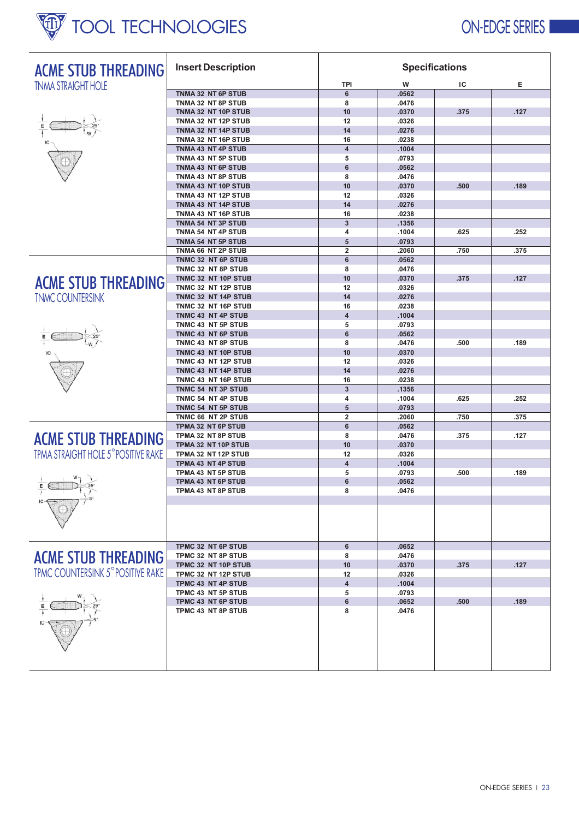

| <b>ACME STUB THREADING</b>          | <b>Insert Description</b>                 | <b>Specifications</b>         |                |      |      |  |  |
|-------------------------------------|-------------------------------------------|-------------------------------|----------------|------|------|--|--|
| <b>TNMA STRAIGHT HOLE</b>           |                                           | TPI                           | W              | IC   | Е    |  |  |
|                                     | TNMA 32 NT 6P STUB                        | $6\phantom{a}$                | .0562          |      |      |  |  |
|                                     | TNMA 32 NT 8P STUB                        | 8                             | .0476          |      |      |  |  |
|                                     | TNMA 32 NT 10P STUB                       | 10                            | .0370          | .375 | .127 |  |  |
|                                     | TNMA 32 NT 12P STUB                       | 12                            | .0326          |      |      |  |  |
|                                     | TNMA 32 NT 14P STUB                       | 14                            | .0276          |      |      |  |  |
|                                     | TNMA 32 NT 16P STUB                       | 16<br>$\overline{\mathbf{4}}$ | .0238<br>.1004 |      |      |  |  |
|                                     | TNMA 43 NT 4P STUB<br>TNMA 43 NT 5P STUB  | 5                             | .0793          |      |      |  |  |
|                                     | TNMA 43 NT 6P STUB                        | $6\phantom{a}$                | .0562          |      |      |  |  |
|                                     | TNMA 43 NT 8P STUB                        | 8                             | .0476          |      |      |  |  |
|                                     | TNMA 43 NT 10P STUB                       | 10                            | .0370          | .500 | .189 |  |  |
|                                     | TNMA 43 NT 12P STUB                       | 12                            | .0326          |      |      |  |  |
|                                     | TNMA 43 NT 14P STUB                       | 14                            | .0276          |      |      |  |  |
|                                     | TNMA 43 NT 16P STUB                       | 16                            | .0238          |      |      |  |  |
|                                     | TNMA 54 NT 3P STUB                        | 3                             | .1356          |      |      |  |  |
|                                     | TNMA 54 NT 4P STUB                        | $\overline{\mathbf{4}}$       | .1004          | .625 | .252 |  |  |
|                                     | TNMA 54 NT 5P STUB                        | 5                             | .0793          |      |      |  |  |
|                                     | TNMA 66 NT 2P STUB                        | $\overline{\mathbf{2}}$       | .2060          | .750 | .375 |  |  |
|                                     | TNMC 32 NT 6P STUB                        | $6\phantom{a}$                | .0562          |      |      |  |  |
|                                     | TNMC 32 NT 8P STUB                        | 8                             | .0476          |      |      |  |  |
| <b>ACME STUB THREADING</b>          | TNMC 32 NT 10P STUB                       | 10                            | .0370          | .375 | .127 |  |  |
|                                     | TNMC 32 NT 12P STUB                       | 12                            | .0326          |      |      |  |  |
| <b>TNMC COUNTERSINK</b>             | TNMC 32 NT 14P STUB                       | 14                            | .0276          |      |      |  |  |
|                                     | TNMC 32 NT 16P STUB<br>TNMC 43 NT 4P STUB | 16<br>$\overline{\mathbf{4}}$ | .0238<br>.1004 |      |      |  |  |
|                                     | TNMC 43 NT 5P STUB                        | 5                             | .0793          |      |      |  |  |
|                                     | TNMC 43 NT 6P STUB                        | 6                             | .0562          |      |      |  |  |
|                                     | TNMC 43 NT 8P STUB                        | 8                             | .0476          | .500 | .189 |  |  |
|                                     | TNMC 43 NT 10P STUB                       | 10                            | .0370          |      |      |  |  |
|                                     | TNMC 43 NT 12P STUB                       | 12                            | .0326          |      |      |  |  |
|                                     | TNMC 43 NT 14P STUB                       | 14                            | .0276          |      |      |  |  |
|                                     | TNMC 43 NT 16P STUB                       | 16                            | .0238          |      |      |  |  |
|                                     | TNMC 54 NT 3P STUB                        | $\overline{3}$                | .1356          |      |      |  |  |
|                                     | TNMC 54 NT 4P STUB                        | 4                             | .1004          | .625 | .252 |  |  |
|                                     | TNMC 54 NT 5P STUB                        | 5                             | .0793          |      |      |  |  |
|                                     | TNMC 66 NT 2P STUB                        | $\overline{\mathbf{2}}$       | .2060          | .750 | .375 |  |  |
|                                     | TPMA 32 NT 6P STUB                        | 6                             | .0562          |      |      |  |  |
| <b>ACME STUB THREADING</b>          | TPMA 32 NT 8P STUB                        | 8                             | .0476          | .375 | .127 |  |  |
|                                     | TPMA 32 NT 10P STUB                       | 10                            | .0370          |      |      |  |  |
| TPMA STRAIGHT HOLE 5° POSITIVE RAKE | TPMA 32 NT 12P STUB                       | 12                            | .0326          |      |      |  |  |
|                                     | TPMA 43 NT 4P STUB                        | $\overline{\mathbf{4}}$       | .1004          |      |      |  |  |
|                                     | TPMA 43 NT 5P STUB<br>TPMA 43 NT 6P STUB  | 5<br>6                        | .0793<br>.0562 | .500 | .189 |  |  |
| $E$ $\left($                        | TPMA 43 NT 8P STUB                        | 8                             | .0476          |      |      |  |  |
|                                     |                                           |                               |                |      |      |  |  |
|                                     |                                           |                               |                |      |      |  |  |
|                                     |                                           |                               |                |      |      |  |  |
|                                     |                                           |                               |                |      |      |  |  |
|                                     |                                           |                               |                |      |      |  |  |
|                                     | TPMC 32 NT 6P STUB                        | 6                             | .0652          |      |      |  |  |
| <b>ACME STUB THREADING</b>          | TPMC 32 NT 8P STUB                        | 8                             | .0476          |      |      |  |  |
|                                     | TPMC 32 NT 10P STUB                       | 10                            | .0370          | .375 | .127 |  |  |
| TPMC COUNTERSINK 5° POSITIVE RAKE   | TPMC 32 NT 12P STUB                       | 12                            | .0326          |      |      |  |  |
|                                     | TPMC 43 NT 4P STUB                        | $\overline{4}$                | .1004          |      |      |  |  |
|                                     | TPMC 43 NT 5P STUB                        | 5                             | .0793          |      |      |  |  |
|                                     | TPMC 43 NT 6P STUB                        | 6                             | .0652          | .500 | .189 |  |  |
|                                     | TPMC 43 NT 8P STUB                        | 8                             | .0476          |      |      |  |  |
|                                     |                                           |                               |                |      |      |  |  |
|                                     |                                           |                               |                |      |      |  |  |
|                                     |                                           |                               |                |      |      |  |  |
|                                     |                                           |                               |                |      |      |  |  |
|                                     |                                           |                               |                |      |      |  |  |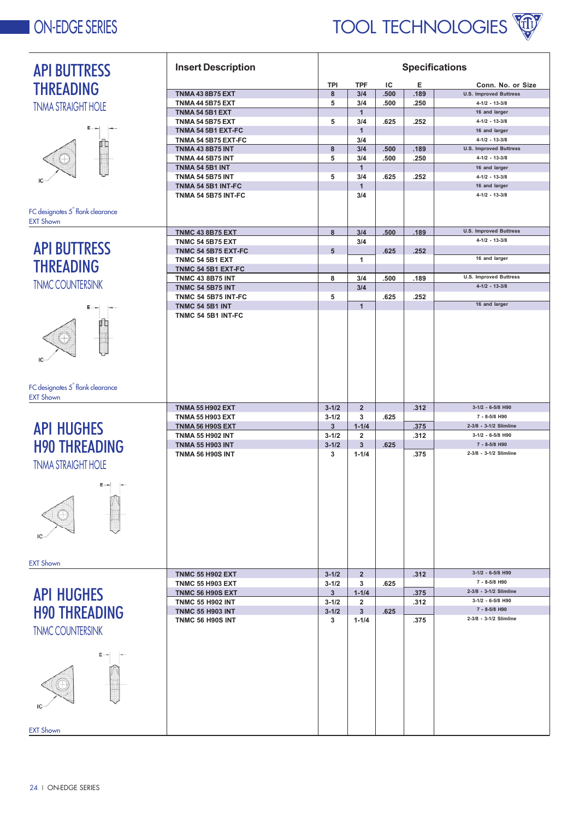### **ON-EDGE SERIES**



| <b>API BUTTRESS</b>                          | <b>Insert Description</b>                     | <b>Specifications</b> |                     |      |      |                                         |  |
|----------------------------------------------|-----------------------------------------------|-----------------------|---------------------|------|------|-----------------------------------------|--|
| <b>THREADING</b>                             |                                               | TPI                   | <b>TPF</b>          | ΙC   | Е    | Conn. No. or Size                       |  |
|                                              | <b>TNMA 43 8B75 EXT</b>                       | 8                     | 3/4                 | .500 | .189 | <b>U.S. Improved Buttress</b>           |  |
| <b>TNMA STRAIGHT HOLE</b>                    | <b>TNMA 44 5B75 EXT</b>                       | 5                     | 3/4                 | .500 | .250 | $4 - 1/2 - 13 - 3/8$                    |  |
|                                              | <b>TNMA 54 5B1 EXT</b>                        |                       | $\mathbf{1}$        |      |      | 16 and larger                           |  |
| Е                                            | <b>TNMA 54 5B75 EXT</b><br>TNMA 54 5B1 EXT-FC | 5                     | 3/4<br>$\mathbf{1}$ | .625 | .252 | $4 - 1/2 - 13 - 3/8$<br>16 and larger   |  |
|                                              | TNMA 54 5B75 EXT-FC                           |                       | 3/4                 |      |      | $4 - 1/2 - 13 - 3/8$                    |  |
|                                              | <b>TNMA 43 8B75 INT</b>                       | 8                     | 3/4                 | .500 | .189 | <b>U.S. Improved Buttress</b>           |  |
|                                              | <b>TNMA 44 5B75 INT</b>                       | 5                     | 3/4                 | .500 | .250 | $4 - 1/2 - 13 - 3/8$                    |  |
|                                              | <b>TNMA 54 5B1 INT</b>                        |                       | $\mathbf{1}$        |      |      | 16 and larger                           |  |
|                                              | <b>TNMA 54 5B75 INT</b>                       | 5                     | 3/4                 | .625 | .252 | $4 - 1/2 - 13 - 3/8$                    |  |
|                                              | TNMA 54 5B1 INT-FC                            |                       | $\mathbf{1}$        |      |      | 16 and larger                           |  |
|                                              | <b>TNMA 54 5B75 INT-FC</b>                    |                       | 3/4                 |      |      | $4 - 1/2 - 13 - 3/8$                    |  |
| FC designates 5 <sup>°</sup> flank clearance |                                               |                       |                     |      |      |                                         |  |
| <b>EXT Shown</b>                             |                                               |                       |                     |      |      |                                         |  |
|                                              | <b>TNMC 43 8B75 EXT</b>                       | 8                     | 3/4                 | .500 | .189 | <b>U.S. Improved Buttress</b>           |  |
|                                              | <b>TNMC 54 5B75 EXT</b>                       |                       | 3/4                 |      |      | $4 - 1/2 - 13 - 3/8$                    |  |
| <b>API BUTTRESS</b>                          | <b>TNMC 54 5B75 EXT-FC</b>                    | 5                     |                     | .625 | .252 |                                         |  |
|                                              | <b>TNMC 54 5B1 EXT</b>                        |                       | 1                   |      |      | 16 and larger                           |  |
| <b>THREADING</b>                             | TNMC 54 5B1 EXT-FC                            |                       |                     |      |      |                                         |  |
|                                              | <b>TNMC 43 8B75 INT</b>                       | 8                     | 3/4                 | .500 | .189 | <b>U.S. Improved Buttress</b>           |  |
| <b>TNMC COUNTERSINK</b>                      | <b>TNMC 54 5B75 INT</b>                       |                       | 3/4                 |      |      | $4-1/2 - 13-3/8$                        |  |
|                                              | <b>TNMC 54 5B75 INT-FC</b>                    | 5                     |                     | .625 | .252 |                                         |  |
|                                              | <b>TNMC 54 5B1 INT</b>                        |                       | $\overline{1}$      |      |      | 16 and larger                           |  |
|                                              | TNMC 54 5B1 INT-FC                            |                       |                     |      |      |                                         |  |
|                                              |                                               |                       |                     |      |      |                                         |  |
|                                              |                                               |                       |                     |      |      |                                         |  |
|                                              |                                               |                       |                     |      |      |                                         |  |
|                                              |                                               |                       |                     |      |      |                                         |  |
|                                              |                                               |                       |                     |      |      |                                         |  |
|                                              |                                               |                       |                     |      |      |                                         |  |
| FC designates 5 <sup>°</sup> flank clearance |                                               |                       |                     |      |      |                                         |  |
| <b>EXT Shown</b>                             |                                               |                       |                     |      |      |                                         |  |
|                                              | <b>TNMA 55 H902 EXT</b>                       | $3 - 1/2$             | $\overline{2}$      |      | .312 | 3-1/2 - 6-5/8 H90                       |  |
|                                              | <b>TNMA 55 H903 EXT</b>                       | $3 - 1/2$             | 3                   | .625 |      | 7 - 8-5/8 H90                           |  |
| <b>API HUGHES</b>                            | TNMA 56 H90S EXT                              | $\mathbf{3}$          | $1 - 1/4$           |      | .375 | 2-3/8 - 3-1/2 Slimline                  |  |
|                                              | <b>TNMA 55 H902 INT</b>                       | $3 - 1/2$             | $\overline{2}$      |      | .312 | 3-1/2 - 6-5/8 H90                       |  |
| <b>H90 THREADING</b>                         | <b>TNMA 55 H903 INT</b>                       | $3 - 1/2$             | $\mathbf{3}$        | .625 |      | 7 - 8-5/8 H90<br>2-3/8 - 3-1/2 Slimline |  |
|                                              | <b>TNMA 56 H90S INT</b>                       | 3                     | $1 - 1/4$           |      | .375 |                                         |  |
| <b>TNMA STRAIGHT HOLE</b>                    |                                               |                       |                     |      |      |                                         |  |
|                                              |                                               |                       |                     |      |      |                                         |  |
| H-<br>$E \rightarrow$                        |                                               |                       |                     |      |      |                                         |  |
|                                              |                                               |                       |                     |      |      |                                         |  |
|                                              |                                               |                       |                     |      |      |                                         |  |
|                                              |                                               |                       |                     |      |      |                                         |  |
|                                              |                                               |                       |                     |      |      |                                         |  |
|                                              |                                               |                       |                     |      |      |                                         |  |
|                                              |                                               |                       |                     |      |      |                                         |  |
| <b>EXT Shown</b>                             |                                               |                       |                     |      |      |                                         |  |
|                                              | <b>TNMC 55 H902 EXT</b>                       | $3 - 1/2$             | $\overline{2}$      |      | .312 | 3-1/2 - 6-5/8 H90                       |  |
|                                              | <b>TNMC 55 H903 EXT</b>                       | $3 - 1/2$             | 3                   | .625 |      | 7 - 8-5/8 H90                           |  |
| <b>API HUGHES</b>                            | TNMC 56 H90S EXT                              | 3                     | $1 - 1/4$           |      | .375 | 2-3/8 - 3-1/2 Slimline                  |  |
|                                              | <b>TNMC 55 H902 INT</b>                       | $3 - 1/2$             | $\overline{2}$      |      | .312 | 3-1/2 - 6-5/8 H90                       |  |
| <b>H90 THREADING</b>                         | <b>TNMC 55 H903 INT</b>                       | $3 - 1/2$             | $\mathbf{3}$        | .625 |      | 7 - 8-5/8 H90                           |  |
|                                              | TNMC 56 H90S INT                              | 3                     | $1 - 1/4$           |      | .375 | 2-3/8 - 3-1/2 Slimline                  |  |
| <b>TNMC COUNTERSINK</b>                      |                                               |                       |                     |      |      |                                         |  |
|                                              |                                               |                       |                     |      |      |                                         |  |
|                                              |                                               |                       |                     |      |      |                                         |  |
|                                              |                                               |                       |                     |      |      |                                         |  |
|                                              |                                               |                       |                     |      |      |                                         |  |
|                                              |                                               |                       |                     |      |      |                                         |  |
|                                              |                                               |                       |                     |      |      |                                         |  |
|                                              |                                               |                       |                     |      |      |                                         |  |
|                                              |                                               |                       |                     |      |      |                                         |  |
|                                              |                                               |                       |                     |      |      |                                         |  |
| <b>EXT Shown</b>                             |                                               |                       |                     |      |      |                                         |  |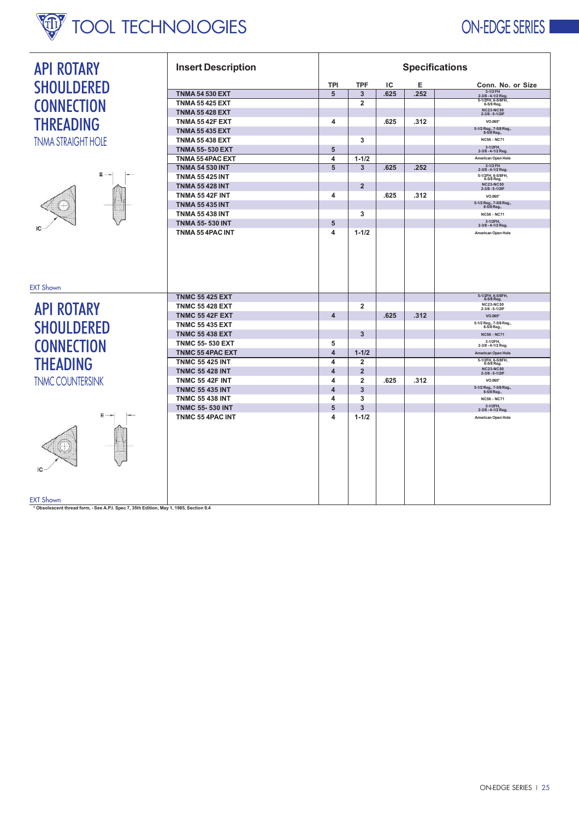# TOOL TECHNOLOGIES ON-EDGE SERIES

Т

٦

| <b>API ROTARY</b>         | <b>Insert Description</b>                         | <b>Specifications</b>   |                         |      |      |                                                                 |  |  |
|---------------------------|---------------------------------------------------|-------------------------|-------------------------|------|------|-----------------------------------------------------------------|--|--|
| <b>SHOULDERED</b>         |                                                   | TPI                     | <b>TPF</b>              | IC   | Е    | Conn. No. or Size                                               |  |  |
|                           | <b>TNMA 54 530 EXT</b>                            | 5                       | $\overline{3}$          | .625 | .252 | 3-1/2 FH<br>2-3/8 - 4-1/2 Reg                                   |  |  |
| <b>CONNECTION</b>         | <b>TNMA 55 425 EXT</b>                            |                         | $\overline{2}$          |      |      | 5-1/2FH, 6-5/8FH,                                               |  |  |
|                           | <b>TNMA 55 428 EXT</b>                            |                         |                         |      |      | NC23-NC50<br>2-3/8 - 5-1/2IF                                    |  |  |
| <b>THREADING</b>          | <b>TNMA 55 42F EXT</b>                            | 4                       |                         | .625 | .312 | VO.065*                                                         |  |  |
|                           | <b>TNMA 55 435 EXT</b>                            |                         |                         |      |      | 5-1/2 Reg., 7-5/8 Reg.,<br>8-5/8 Reg.,                          |  |  |
| <b>TNMA STRAIGHT HOLE</b> | <b>TNMA 55 438 EXT</b><br><b>TNMA 55-530 EXT</b>  | 5                       | 3                       |      |      | <b>NC56 - NC71</b><br>3-1/2FH,<br>2-3/8 - 4-1/2 Reg             |  |  |
|                           | TNMA 55 4PAC EXT                                  | 4                       | $1 - 1/2$               |      |      | American Open Hole                                              |  |  |
|                           | <b>TNMA 54 530 INT</b>                            | 5                       | 3                       | .625 | .252 | 3-1/2 FH<br>2-3/8 - 4-1/2 Reg.                                  |  |  |
| Ε                         | <b>TNMA 55 425 INT</b>                            |                         |                         |      |      | 5-1/2FH, 6-5/8FH,<br>6-5/8 Reg.                                 |  |  |
|                           | <b>TNMA 55 428 INT</b>                            |                         | $\overline{2}$          |      |      | NC23-NC50<br>2-3/8 - 5-1/2IF                                    |  |  |
|                           | <b>TNMA 55 42F INT</b>                            | 4                       |                         | .625 | .312 | VO.065*                                                         |  |  |
|                           | <b>TNMA 55 435 INT</b>                            |                         |                         |      |      | 5-1/2 Reg., 7-5/8 Reg.,<br>8-5/8 Reg.,                          |  |  |
|                           | <b>TNMA 55 438 INT</b>                            |                         | 3                       |      |      | <b>NC56 - NC71</b>                                              |  |  |
|                           | <b>TNMA 55-530 INT</b>                            | 5                       |                         |      |      | 3-1/2FH,<br>2-3/8 - 4-1/2 Reg                                   |  |  |
|                           | TNMA 55 4PAC INT                                  | 4                       | $1 - 1/2$               |      |      | American Open Hole                                              |  |  |
| <b>EXT Shown</b>          | <b>TNMC 55 425 EXT</b>                            |                         |                         |      |      |                                                                 |  |  |
|                           | <b>TNMC 55 428 EXT</b>                            |                         | $\overline{2}$          |      |      | 5-1/2FH, 6-5/8FH,<br>6-5/8 Reg.<br>NC23-NC50<br>2-3/8 - 5-1/2IF |  |  |
| <b>API ROTARY</b>         | <b>TNMC 55 42F EXT</b>                            | $\overline{\mathbf{4}}$ |                         | .625 | .312 | VO.065*                                                         |  |  |
| <b>SHOULDERED</b>         | <b>TNMC 55 435 EXT</b>                            |                         |                         |      |      | 5-1/2 Reg., 7-5/8 Reg.,<br>8-5/8 Reg.,                          |  |  |
|                           | <b>TNMC 55 438 EXT</b>                            |                         | 3                       |      |      | <b>NC56 - NC71</b>                                              |  |  |
| <b>CONNECTION</b>         | <b>TNMC 55-530 EXT</b>                            | 5                       |                         |      |      | 3-1/2FH.<br>2-3/8 - 4-1/2 Reg                                   |  |  |
|                           | TNMC 55 4PAC EXT                                  | 4                       | $1 - 1/2$               |      |      | American Open Hole                                              |  |  |
| <b>THEADING</b>           | <b>TNMC 55 425 INT</b>                            | 4                       | $\overline{2}$          |      |      | 5-1/2FH, 6-5/8FH,<br>6-5/8 Reg.                                 |  |  |
|                           | <b>TNMC 55 428 INT</b>                            | $\overline{\mathbf{4}}$ | $\overline{2}$          |      |      | <b>NC23-NC50</b><br>2-3/8 - 5-1/2IF                             |  |  |
| <b>TNMC COUNTERSINK</b>   | <b>TNMC 55 42F INT</b>                            | 4                       | $\overline{2}$          | .625 | .312 | VO.065*                                                         |  |  |
|                           | <b>TNMC 55 435 INT</b>                            | $\overline{\mathbf{4}}$ | $\overline{\mathbf{3}}$ |      |      | 5-1/2 Reg., 7-5/8 Reg.,<br>8-5/8 Reg.,                          |  |  |
|                           | <b>TNMC 55 438 INT</b>                            | 4<br>5                  | 3<br>3                  |      |      | <b>NC56 - NC71</b><br>3-1/2FH,                                  |  |  |
| Ε                         | <b>TNMC 55-530 INT</b><br><b>TNMC 55 4PAC INT</b> | 4                       | $1 - 1/2$               |      |      | 2-3/8 - 4-1/2 Reg.<br>American Open Hole                        |  |  |
| <b>EXT Shown</b>          |                                                   |                         |                         |      |      |                                                                 |  |  |

┱

EXT Shown<br>\* Obsolescent thread form, - See A.P.I. Spec 7, 35th Edition, May 1, 1985, Section 9.4